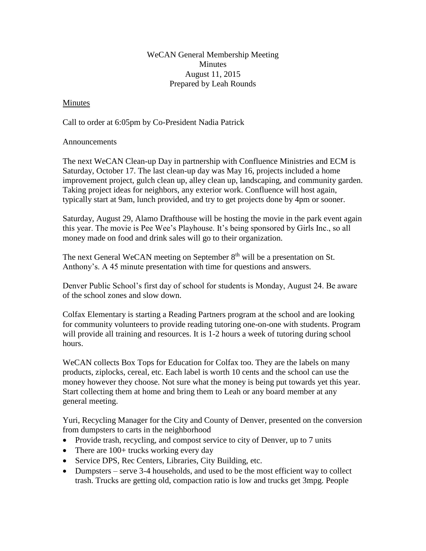## WeCAN General Membership Meeting **Minutes** August 11, 2015 Prepared by Leah Rounds

## Minutes

Call to order at 6:05pm by Co-President Nadia Patrick

## Announcements

The next WeCAN Clean-up Day in partnership with Confluence Ministries and ECM is Saturday, October 17. The last clean-up day was May 16, projects included a home improvement project, gulch clean up, alley clean up, landscaping, and community garden. Taking project ideas for neighbors, any exterior work. Confluence will host again, typically start at 9am, lunch provided, and try to get projects done by 4pm or sooner.

Saturday, August 29, Alamo Drafthouse will be hosting the movie in the park event again this year. The movie is Pee Wee's Playhouse. It's being sponsored by Girls Inc., so all money made on food and drink sales will go to their organization.

The next General WeCAN meeting on September 8<sup>th</sup> will be a presentation on St. Anthony's. A 45 minute presentation with time for questions and answers.

Denver Public School's first day of school for students is Monday, August 24. Be aware of the school zones and slow down.

Colfax Elementary is starting a Reading Partners program at the school and are looking for community volunteers to provide reading tutoring one-on-one with students. Program will provide all training and resources. It is 1-2 hours a week of tutoring during school hours.

WeCAN collects Box Tops for Education for Colfax too. They are the labels on many products, ziplocks, cereal, etc. Each label is worth 10 cents and the school can use the money however they choose. Not sure what the money is being put towards yet this year. Start collecting them at home and bring them to Leah or any board member at any general meeting.

Yuri, Recycling Manager for the City and County of Denver, presented on the conversion from dumpsters to carts in the neighborhood

- Provide trash, recycling, and compost service to city of Denver, up to 7 units
- There are 100+ trucks working every day
- Service DPS, Rec Centers, Libraries, City Building, etc.
- Dumpsters serve 3-4 households, and used to be the most efficient way to collect trash. Trucks are getting old, compaction ratio is low and trucks get 3mpg. People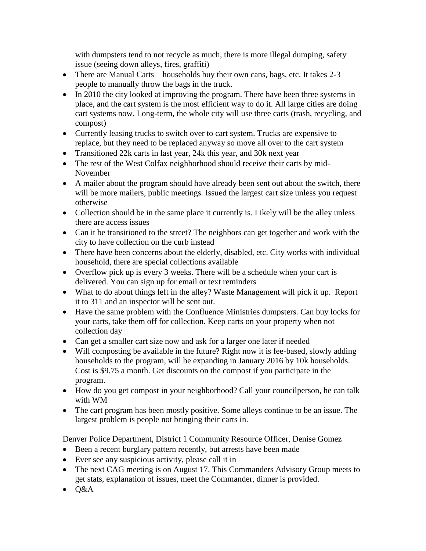with dumpsters tend to not recycle as much, there is more illegal dumping, safety issue (seeing down alleys, fires, graffiti)

- There are Manual Carts households buy their own cans, bags, etc. It takes 2-3 people to manually throw the bags in the truck.
- In 2010 the city looked at improving the program. There have been three systems in place, and the cart system is the most efficient way to do it. All large cities are doing cart systems now. Long-term, the whole city will use three carts (trash, recycling, and compost)
- Currently leasing trucks to switch over to cart system. Trucks are expensive to replace, but they need to be replaced anyway so move all over to the cart system
- Transitioned 22k carts in last year, 24k this year, and 30k next year
- The rest of the West Colfax neighborhood should receive their carts by mid-November
- A mailer about the program should have already been sent out about the switch, there will be more mailers, public meetings. Issued the largest cart size unless you request otherwise
- Collection should be in the same place it currently is. Likely will be the alley unless there are access issues
- Can it be transitioned to the street? The neighbors can get together and work with the city to have collection on the curb instead
- There have been concerns about the elderly, disabled, etc. City works with individual household, there are special collections available
- Overflow pick up is every 3 weeks. There will be a schedule when your cart is delivered. You can sign up for email or text reminders
- What to do about things left in the alley? Waste Management will pick it up. Report it to 311 and an inspector will be sent out.
- Have the same problem with the Confluence Ministries dumpsters. Can buy locks for your carts, take them off for collection. Keep carts on your property when not collection day
- Can get a smaller cart size now and ask for a larger one later if needed
- Will composting be available in the future? Right now it is fee-based, slowly adding households to the program, will be expanding in January 2016 by 10k households. Cost is \$9.75 a month. Get discounts on the compost if you participate in the program.
- How do you get compost in your neighborhood? Call your councilperson, he can talk with WM
- The cart program has been mostly positive. Some alleys continue to be an issue. The largest problem is people not bringing their carts in.

Denver Police Department, District 1 Community Resource Officer, Denise Gomez

- Been a recent burglary pattern recently, but arrests have been made
- Ever see any suspicious activity, please call it in
- The next CAG meeting is on August 17. This Commanders Advisory Group meets to get stats, explanation of issues, meet the Commander, dinner is provided.
- $\bullet$  Q&A